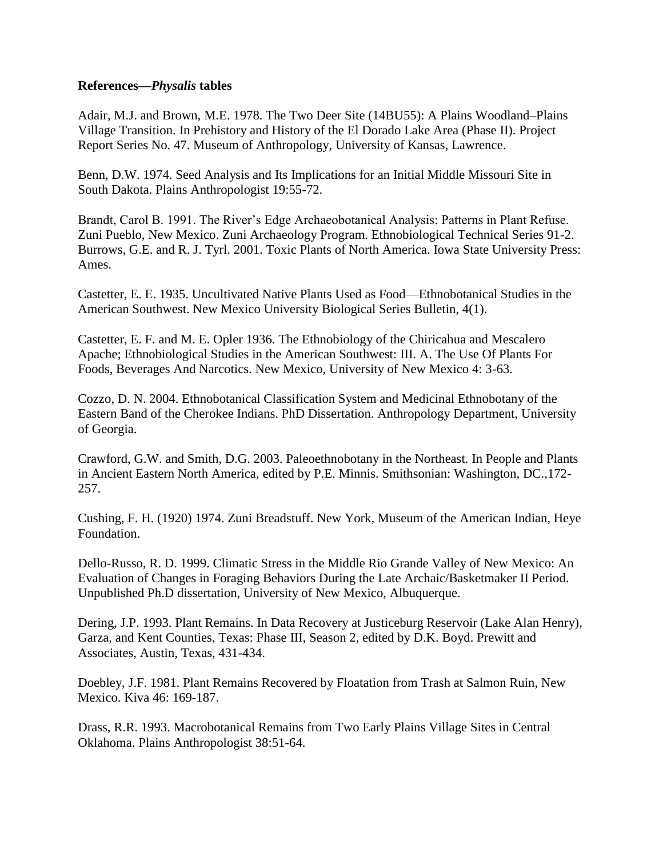## **References—***Physalis* **tables**

Adair, M.J. and Brown, M.E. 1978. The Two Deer Site (14BU55): A Plains Woodland–Plains Village Transition. In Prehistory and History of the El Dorado Lake Area (Phase II). Project Report Series No. 47. Museum of Anthropology, University of Kansas, Lawrence.

Benn, D.W. 1974. Seed Analysis and Its Implications for an Initial Middle Missouri Site in South Dakota. Plains Anthropologist 19:55-72.

Brandt, Carol B. 1991. The River's Edge Archaeobotanical Analysis: Patterns in Plant Refuse. Zuni Pueblo, New Mexico. Zuni Archaeology Program. Ethnobiological Technical Series 91-2. Burrows, G.E. and R. J. Tyrl. 2001. Toxic Plants of North America. Iowa State University Press: Ames.

Castetter, E. E. 1935. Uncultivated Native Plants Used as Food—Ethnobotanical Studies in the American Southwest. New Mexico University Biological Series Bulletin, 4(1).

Castetter, E. F. and M. E. Opler 1936. The Ethnobiology of the Chiricahua and Mescalero Apache; Ethnobiological Studies in the American Southwest: III. A. The Use Of Plants For Foods, Beverages And Narcotics. New Mexico, University of New Mexico 4: 3-63.

Cozzo, D. N. 2004. Ethnobotanical Classification System and Medicinal Ethnobotany of the Eastern Band of the Cherokee Indians. PhD Dissertation. Anthropology Department, University of Georgia.

Crawford, G.W. and Smith, D.G. 2003. Paleoethnobotany in the Northeast. In People and Plants in Ancient Eastern North America, edited by P.E. Minnis. Smithsonian: Washington, DC.,172- 257.

Cushing, F. H. (1920) 1974. Zuni Breadstuff. New York, Museum of the American Indian, Heye Foundation.

Dello-Russo, R. D. 1999. Climatic Stress in the Middle Rio Grande Valley of New Mexico: An Evaluation of Changes in Foraging Behaviors During the Late Archaic/Basketmaker II Period. Unpublished Ph.D dissertation, University of New Mexico, Albuquerque.

Dering, J.P. 1993. Plant Remains. In Data Recovery at Justiceburg Reservoir (Lake Alan Henry), Garza, and Kent Counties, Texas: Phase III, Season 2, edited by D.K. Boyd. Prewitt and Associates, Austin, Texas, 431-434.

Doebley, J.F. 1981. Plant Remains Recovered by Floatation from Trash at Salmon Ruin, New Mexico. Kiva 46: 169-187.

Drass, R.R. 1993. Macrobotanical Remains from Two Early Plains Village Sites in Central Oklahoma. Plains Anthropologist 38:51-64.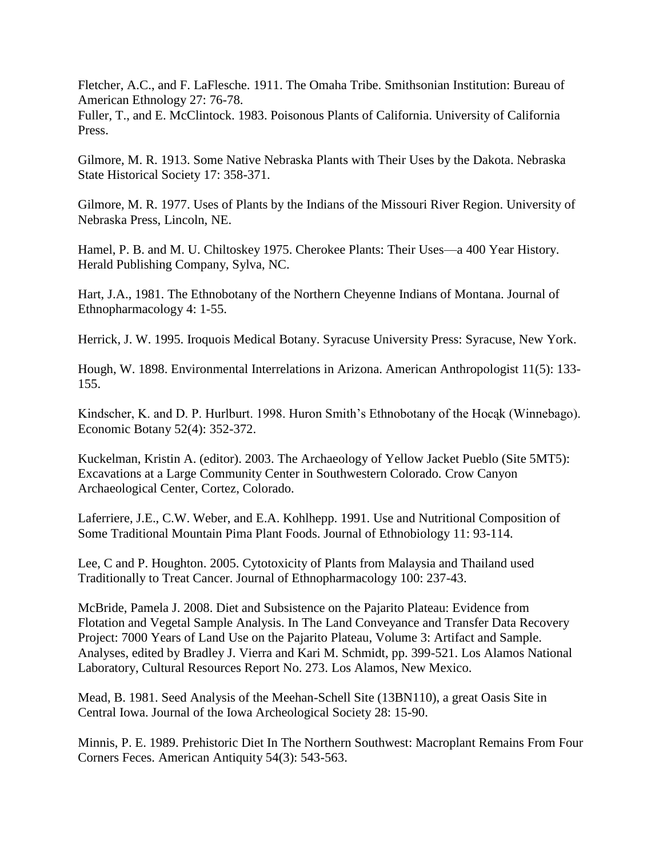Fletcher, A.C., and F. LaFlesche. 1911. The Omaha Tribe. Smithsonian Institution: Bureau of American Ethnology 27: 76-78.

Fuller, T., and E. McClintock. 1983. Poisonous Plants of California. University of California Press.

Gilmore, M. R. 1913. Some Native Nebraska Plants with Their Uses by the Dakota. Nebraska State Historical Society 17: 358-371.

Gilmore, M. R. 1977. Uses of Plants by the Indians of the Missouri River Region. University of Nebraska Press, Lincoln, NE.

Hamel, P. B. and M. U. Chiltoskey 1975. Cherokee Plants: Their Uses—a 400 Year History. Herald Publishing Company, Sylva, NC.

Hart, J.A., 1981. The Ethnobotany of the Northern Cheyenne Indians of Montana. Journal of Ethnopharmacology 4: 1-55.

Herrick, J. W. 1995. Iroquois Medical Botany. Syracuse University Press: Syracuse, New York.

Hough, W. 1898. Environmental Interrelations in Arizona. American Anthropologist 11(5): 133- 155.

Kindscher, K. and D. P. Hurlburt. 1998. Huron Smith's Ethnobotany of the Hocąk (Winnebago). Economic Botany 52(4): 352-372.

Kuckelman, Kristin A. (editor). 2003. The Archaeology of Yellow Jacket Pueblo (Site 5MT5): Excavations at a Large Community Center in Southwestern Colorado*.* Crow Canyon Archaeological Center, Cortez, Colorado.

Laferriere, J.E., C.W. Weber, and E.A. Kohlhepp. 1991. Use and Nutritional Composition of Some Traditional Mountain Pima Plant Foods. Journal of Ethnobiology 11: 93-114.

Lee, C and P. Houghton. 2005. Cytotoxicity of Plants from Malaysia and Thailand used Traditionally to Treat Cancer. Journal of Ethnopharmacology 100: 237-43.

McBride, Pamela J. 2008. Diet and Subsistence on the Pajarito Plateau: Evidence from Flotation and Vegetal Sample Analysis. In The Land Conveyance and Transfer Data Recovery Project: 7000 Years of Land Use on the Pajarito Plateau, Volume 3: Artifact and Sample. Analyses, edited by Bradley J. Vierra and Kari M. Schmidt, pp. 399-521. Los Alamos National Laboratory, Cultural Resources Report No. 273. Los Alamos, New Mexico.

Mead, B. 1981. Seed Analysis of the Meehan-Schell Site (13BN110), a great Oasis Site in Central Iowa. Journal of the Iowa Archeological Society 28: 15-90.

Minnis, P. E. 1989. Prehistoric Diet In The Northern Southwest: Macroplant Remains From Four Corners Feces. American Antiquity 54(3): 543-563.